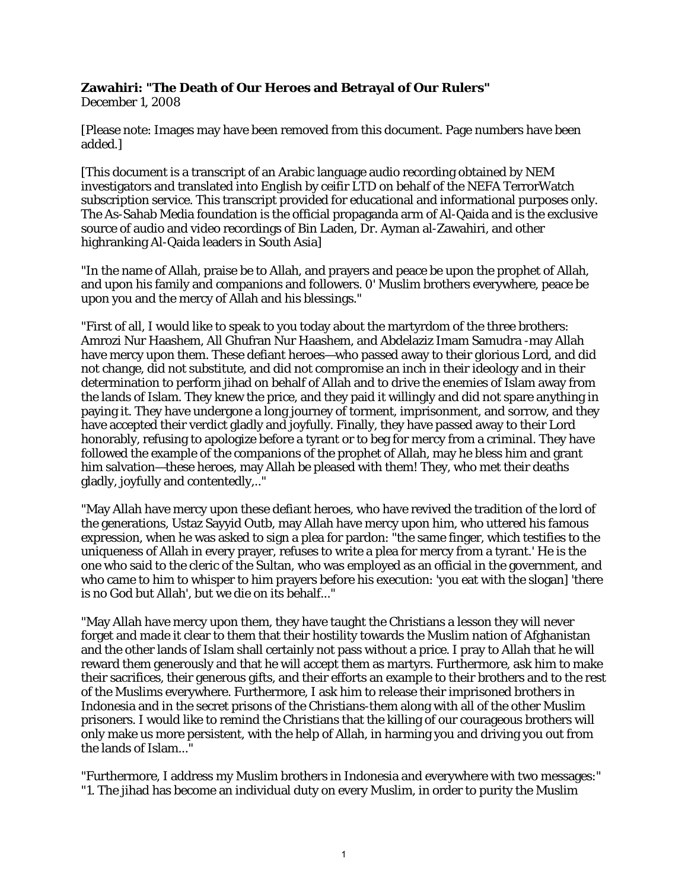## **Zawahiri: "The Death of Our Heroes and Betrayal of Our Rulers"**

December 1, 2008

[Please note: Images may have been removed from this document. Page numbers have been added.]

[This document is a transcript of an Arabic language audio recording obtained by NEM investigators and translated into English by ceifir LTD on behalf of the NEFA TerrorWatch subscription service. This transcript provided for educational and informational purposes only. The As-Sahab Media foundation is the official propaganda arm of Al-Qaida and is the exclusive source of audio and video recordings of Bin Laden, Dr. Ayman al-Zawahiri, and other highranking Al-Qaida leaders in South Asia]

"In the name of Allah, praise be to Allah, and prayers and peace be upon the prophet of Allah, and upon his family and companions and followers. 0' Muslim brothers everywhere, peace be upon you and the mercy of Allah and his blessings."

"First of all, I would like to speak to you today about the martyrdom of the three brothers: Amrozi Nur Haashem, All Ghufran Nur Haashem, and Abdelaziz Imam Samudra -may Allah have mercy upon them. These defiant heroes—who passed away to their glorious Lord, and did not change, did not substitute, and did not compromise an inch in their ideology and in their determination to perform jihad on behalf of Allah and to drive the enemies of Islam away from the lands of Islam. They knew the price, and they paid it willingly and did not spare anything in paying it. They have undergone a long journey of torment, imprisonment, and sorrow, and they have accepted their verdict gladly and joyfully. Finally, they have passed away to their Lord honorably, refusing to apologize before a tyrant or to beg for mercy from a criminal. They have followed the example of the companions of the prophet of Allah, may he bless him and grant him salvation—these heroes, may Allah be pleased with them! They, who met their deaths gladly, joyfully and contentedly,.."

"May Allah have mercy upon these defiant heroes, who have revived the tradition of the lord of the generations, Ustaz Sayyid Outb, may Allah have mercy upon him, who uttered his famous expression, when he was asked to sign a plea for pardon: "the same finger, which testifies to the uniqueness of Allah in every prayer, refuses to write a plea for mercy from a tyrant.' He is the one who said to the cleric of the Sultan, who was employed as an official in the government, and who came to him to whisper to him prayers before his execution: 'you eat with the slogan] 'there is no God but Allah', but we die on its behalf..."

"May Allah have mercy upon them, they have taught the Christians a lesson they will never forget and made it clear to them that their hostility towards the Muslim nation of Afghanistan and the other lands of Islam shall certainly not pass without a price. I pray to Allah that he will reward them generously and that he will accept them as martyrs. Furthermore, ask him to make their sacrifices, their generous gifts, and their efforts an example to their brothers and to the rest of the Muslims everywhere. Furthermore, I ask him to release their imprisoned brothers in Indonesia and in the secret prisons of the Christians-them along with all of the other Muslim prisoners. I would like to remind the Christians that the killing of our courageous brothers will only make us more persistent, with the help of Allah, in harming you and driving you out from the lands of Islam..."

"Furthermore, I address my Muslim brothers in Indonesia and everywhere with two messages:" "1. The jihad has become an individual duty on every Muslim, in order to purity the Muslim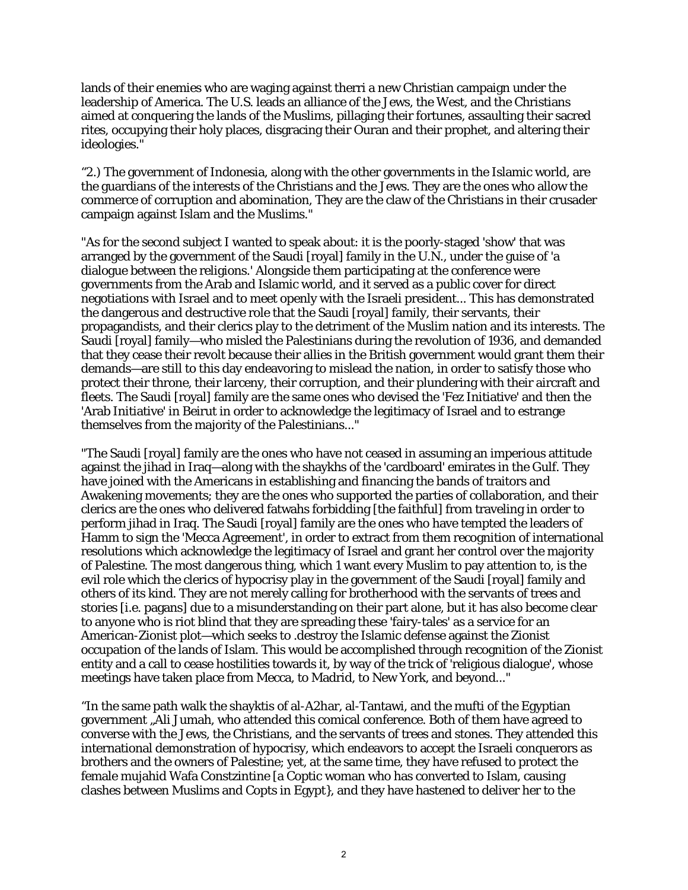lands of their enemies who are waging against therri a new Christian campaign under the leadership of America. The U.S. leads an alliance of the Jews, the West, and the Christians aimed at conquering the lands of the Muslims, pillaging their fortunes, assaulting their sacred rites, occupying their holy places, disgracing their Ouran and their prophet, and altering their ideologies."

"2.) The government of Indonesia, along with the other governments in the Islamic world, are the guardians of the interests of the Christians and the Jews. They are the ones who allow the commerce of corruption and abomination, They are the claw of the Christians in their crusader campaign against Islam and the Muslims."

"As for the second subject I wanted to speak about: it is the poorly-staged 'show' that was arranged by the government of the Saudi [royal] family in the U.N., under the guise of 'a dialogue between the religions.' Alongside them participating at the conference were governments from the Arab and Islamic world, and it served as a public cover for direct negotiations with Israel and to meet openly with the Israeli president... This has demonstrated the dangerous and destructive role that the Saudi [royal] family, their servants, their propagandists, and their clerics play to the detriment of the Muslim nation and its interests. The Saudi [royal] family—who misled the Palestinians during the revolution of 1936, and demanded that they cease their revolt because their allies in the British government would grant them their demands—are still to this day endeavoring to mislead the nation, in order to satisfy those who protect their throne, their larceny, their corruption, and their plundering with their aircraft and fleets. The Saudi [royal] family are the same ones who devised the 'Fez Initiative' and then the 'Arab Initiative' in Beirut in order to acknowledge the legitimacy of Israel and to estrange themselves from the majority of the Palestinians..."

"The Saudi [royal] family are the ones who have not ceased in assuming an imperious attitude against the jihad in Iraq—along with the shaykhs of the 'cardboard' emirates in the Gulf. They have joined with the Americans in establishing and financing the bands of traitors and Awakening movements; they are the ones who supported the parties of collaboration, and their clerics are the ones who delivered fatwahs forbidding [the faithful] from traveling in order to perform jihad in Iraq. The Saudi [royal] family are the ones who have tempted the leaders of Hamm to sign the 'Mecca Agreement', in order to extract from them recognition of international resolutions which acknowledge the legitimacy of Israel and grant her control over the majority of Palestine. The most dangerous thing, which 1 want every Muslim to pay attention to, is the evil role which the clerics of hypocrisy play in the government of the Saudi [royal] family and others of its kind. They are not merely calling for brotherhood with the servants of trees and stories [i.e. pagans] due to a misunderstanding on their part alone, but it has also become clear to anyone who is riot blind that they are spreading these 'fairy-tales' as a service for an American-Zionist plot—which seeks to .destroy the Islamic defense against the Zionist occupation of the lands of Islam. This would be accomplished through recognition of the Zionist entity and a call to cease hostilities towards it, by way of the trick of 'religious dialogue', whose meetings have taken place from Mecca, to Madrid, to New York, and beyond..."

"In the same path walk the shayktis of al-A2har, al-Tantawi, and the mufti of the Egyptian government "Ali Jumah, who attended this comical conference. Both of them have agreed to converse with the Jews, the Christians, and the servants of trees and stones. They attended this international demonstration of hypocrisy, which endeavors to accept the Israeli conquerors as brothers and the owners of Palestine; yet, at the same time, they have refused to protect the female mujahid Wafa Constzintine [a Coptic woman who has converted to Islam, causing clashes between Muslims and Copts in Egypt}, and they have hastened to deliver her to the